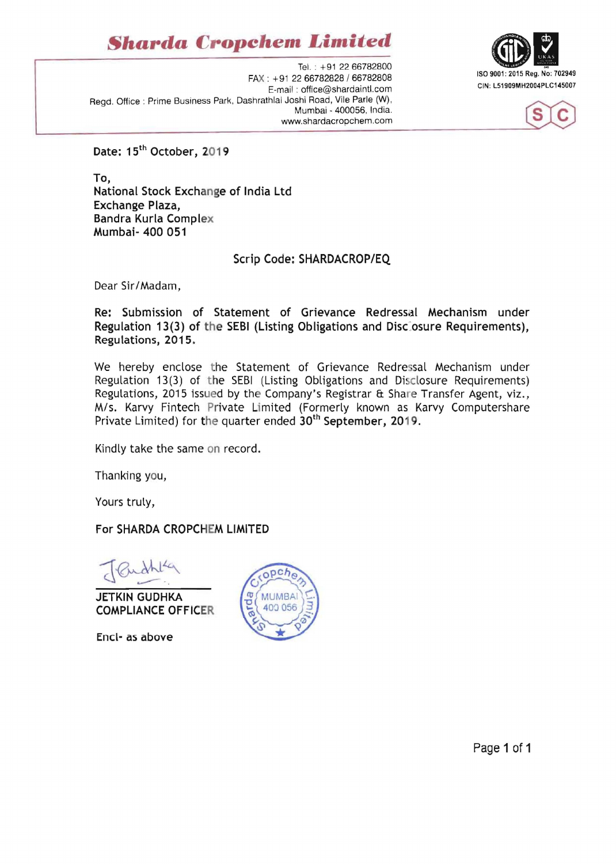## *Shard"* **Cropchem** *Limited*

Tel. : +91 2266782800 ISO 9001 : 2015 Reg. No: 702949 FAX: +91 2266782828/66782808 E-mail: office@shardaintl.com Regd. Office : Prime Business Park. Dashrathlal Joshi Road. Vile Parle (W) . Mumbai - 400056. India. www.shardacropchem.com





Date: 15<sup>th</sup> October, 2019

To, National Stock Exchange of India Ltd Exchange Plaza, Bandra Kurla Complex Mumbai- 400 051

## Scrip Code: SHARDACROP/EQ

Dear Sir/Madam,

Re: Submission of Statement of Grievance Redressal Mechanism under Regulation 13(3) of the SEBI (Listing Obligations and Disciosure Requirements), Regulations, 2015.

We hereby enclose the Statement of Grievance Redressal Mechanism under Regulation 13(3) of the SEBI (Listing Obligations and Disclosure Requirements) Regulations, 2015 issued by the Company's Registrar & Share Transfer Agent, viz., M/s. Karvy Fintech Private Limited (Formerly known as Karvy Computershare Private Limited) for the quarter ended  $30<sup>th</sup>$  September, 2019.

Kindly take the same on record.

Thanking you,

Yours truly,

For SHARDA CROPCHEM LIMITED

JETKIN GUDHKA COMPLIANCE OFFICER

Encl- as above